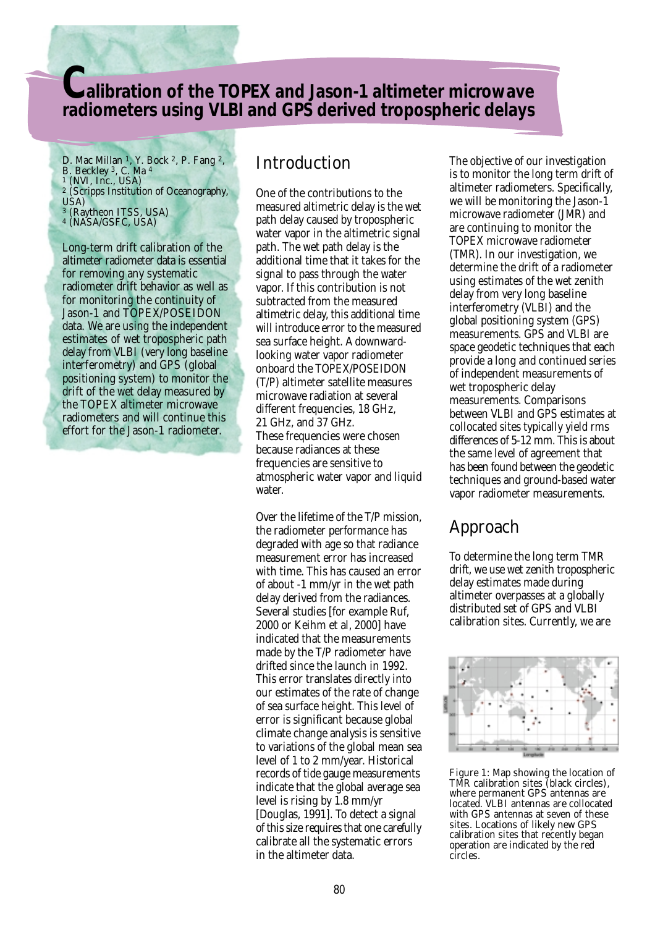## **Calibration of the TOPEX and Jason-1 altimeter microwave radiometers using VLBI and GPS derived tropospheric delays**

D. Mac Millan 1, Y. Bock 2, P. Fang 2, B. Beckley 3, C. Ma <sup>4</sup> 1 (NVI, Inc., USA) 2 (Scripps Institution of Oceanography, USA) 3 (Raytheon ITSS, USA) 4 (NASA/GSFC, USA)

Long-term drift calibration of the altimeter radiometer data is essential for removing any systematic radiometer drift behavior as well as for monitoring the continuity of Jason-1 and TOPEX/POSEIDON data. We are using the independent estimates of wet tropospheric path delay from VLBI (very long baseline interferometry) and GPS (global positioning system) to monitor the drift of the wet delay measured by the TOPEX altimeter microwave radiometers and will continue this effort for the Jason-1 radiometer.

### **Introduction**

One of the contributions to the measured altimetric delay is the wet path delay caused by tropospheric water vapor in the altimetric signal path. The wet path delay is the additional time that it takes for the signal to pass through the water vapor. If this contribution is not subtracted from the measured altimetric delay, this additional time will introduce error to the measured sea surface height. A downwardlooking water vapor radiometer onboard the TOPEX/POSEIDON (T/P) altimeter satellite measures microwave radiation at several different frequencies, 18 GHz, 21 GHz, and 37 GHz. These frequencies were chosen because radiances at these frequencies are sensitive to atmospheric water vapor and liquid water.

Over the lifetime of the T/P mission, the radiometer performance has degraded with age so that radiance measurement error has increased with time. This has caused an error of about -1 mm/yr in the wet path delay derived from the radiances. Several studies [for example Ruf, 2000 or Keihm et al, 2000] have indicated that the measurements made by the T/P radiometer have drifted since the launch in 1992. This error translates directly into our estimates of the rate of change of sea surface height. This level of error is significant because global climate change analysis is sensitive to variations of the global mean sea level of 1 to 2 mm/year. Historical records of tide gauge measurements indicate that the global average sea level is rising by 1.8 mm/yr [Douglas, 1991]. To detect a signal of this size requires that one carefully calibrate all the systematic errors in the altimeter data.

The objective of our investigation is to monitor the long term drift of altimeter radiometers. Specifically, we will be monitoring the Jason-1 microwave radiometer (JMR) and are continuing to monitor the TOPEX microwave radiometer (TMR). In our investigation, we determine the drift of a radiometer using estimates of the wet zenith delay from very long baseline interferometry (VLBI) and the global positioning system (GPS) measurements. GPS and VLBI are space geodetic techniques that each provide a long and continued series of independent measurements of wet tropospheric delay measurements. Comparisons between VLBI and GPS estimates at collocated sites typically yield rms differences of 5-12 mm. This is about the same level of agreement that has been found between the geodetic techniques and ground-based water vapor radiometer measurements.

# Approach

To determine the long term TMR drift, we use wet zenith tropospheric delay estimates made during altimeter overpasses at a globally distributed set of GPS and VLBI calibration sites. Currently, we are



Figure 1: Map showing the location of TMR calibration sites (black circles), where permanent GPS antennas are located. VLBI antennas are collocated with GPS antennas at seven of these sites. Locations of likely new GPS calibration sites that recently began operation are indicated by the red circles.